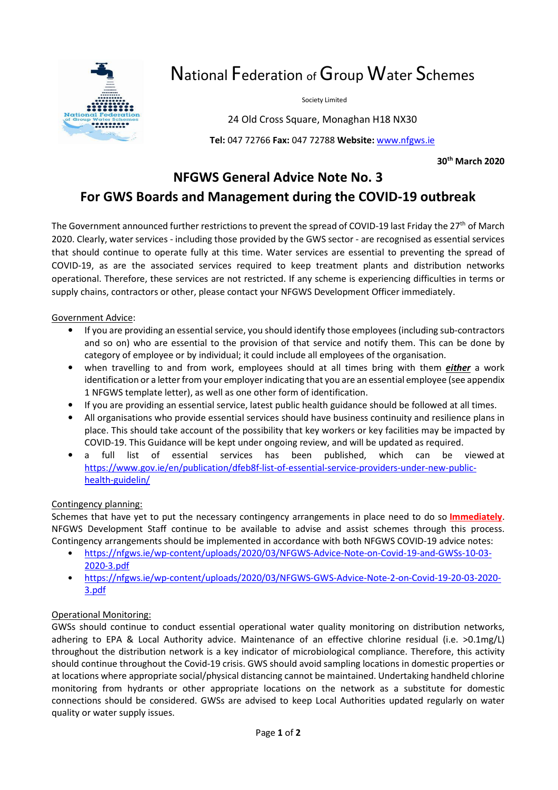

# National Federation of Group Water Schemes

Society Limited

24 Old Cross Square, Monaghan H18 NX30

**Tel:** 047 72766 **Fax:** 047 72788 **Website:** www.nfgws.ie

**30th March 2020** 

## **NFGWS General Advice Note No. 3 For GWS Boards and Management during the COVID-19 outbreak**

The Government announced further restrictions to prevent the spread of COVID-19 last Friday the 27<sup>th</sup> of March 2020. Clearly, water services - including those provided by the GWS sector - are recognised as essential services that should continue to operate fully at this time. Water services are essential to preventing the spread of COVID-19, as are the associated services required to keep treatment plants and distribution networks operational. Therefore, these services are not restricted. If any scheme is experiencing difficulties in terms or supply chains, contractors or other, please contact your NFGWS Development Officer immediately.

#### Government Advice:

- If you are providing an essential service, you should identify those employees (including sub-contractors and so on) who are essential to the provision of that service and notify them. This can be done by category of employee or by individual; it could include all employees of the organisation.
- when travelling to and from work, employees should at all times bring with them *either* a work identification or a letter from your employer indicating that you are an essential employee (see appendix 1 NFGWS template letter), as well as one other form of identification.
- If you are providing an essential service, latest public health guidance should be followed at all times.
- All organisations who provide essential services should have business continuity and resilience plans in place. This should take account of the possibility that key workers or key facilities may be impacted by COVID-19. This Guidance will be kept under ongoing review, and will be updated as required.
- a full list of essential services has been published, which can be viewed at https://www.gov.ie/en/publication/dfeb8f-list-of-essential-service-providers-under-new-publichealth-guidelin/

#### Contingency planning:

Schemes that have yet to put the necessary contingency arrangements in place need to do so **Immediately**. NFGWS Development Staff continue to be available to advise and assist schemes through this process. Contingency arrangements should be implemented in accordance with both NFGWS COVID-19 advice notes:

- https://nfgws.ie/wp-content/uploads/2020/03/NFGWS-Advice-Note-on-Covid-19-and-GWSs-10-03- 2020-3.pdf
- https://nfgws.ie/wp-content/uploads/2020/03/NFGWS-GWS-Advice-Note-2-on-Covid-19-20-03-2020- 3.pdf

#### Operational Monitoring:

GWSs should continue to conduct essential operational water quality monitoring on distribution networks, adhering to EPA & Local Authority advice. Maintenance of an effective chlorine residual (i.e. >0.1mg/L) throughout the distribution network is a key indicator of microbiological compliance. Therefore, this activity should continue throughout the Covid-19 crisis. GWS should avoid sampling locations in domestic properties or at locations where appropriate social/physical distancing cannot be maintained. Undertaking handheld chlorine monitoring from hydrants or other appropriate locations on the network as a substitute for domestic connections should be considered. GWSs are advised to keep Local Authorities updated regularly on water quality or water supply issues.